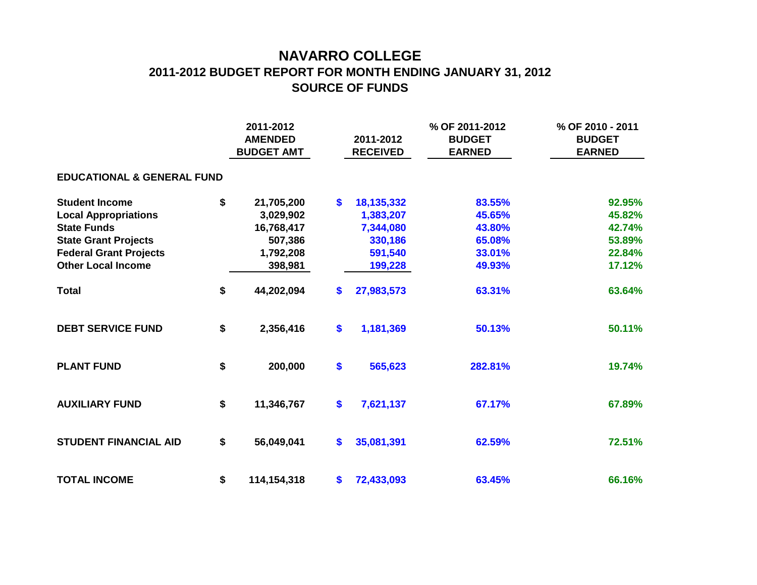## **NAVARRO COLLEGE 2011-2012 BUDGET REPORT FOR MONTH ENDING JANUARY 31, 2012 SOURCE OF FUNDS**

|                                       | 2011-2012<br><b>AMENDED</b><br><b>BUDGET AMT</b> |               |                   | 2011-2012<br><b>RECEIVED</b> | % OF 2011-2012<br><b>BUDGET</b><br><b>EARNED</b> | % OF 2010 - 2011<br><b>BUDGET</b><br><b>EARNED</b> |  |  |  |  |  |  |  |  |
|---------------------------------------|--------------------------------------------------|---------------|-------------------|------------------------------|--------------------------------------------------|----------------------------------------------------|--|--|--|--|--|--|--|--|
| <b>EDUCATIONAL &amp; GENERAL FUND</b> |                                                  |               |                   |                              |                                                  |                                                    |  |  |  |  |  |  |  |  |
| <b>Student Income</b>                 | \$                                               | 21,705,200    | $\bullet$         | 18,135,332                   | 83.55%                                           | 92.95%                                             |  |  |  |  |  |  |  |  |
| <b>Local Appropriations</b>           |                                                  | 3,029,902     |                   | 1,383,207                    | 45.65%                                           | 45.82%                                             |  |  |  |  |  |  |  |  |
| <b>State Funds</b>                    |                                                  | 16,768,417    |                   | 7,344,080                    | 43.80%                                           | 42.74%                                             |  |  |  |  |  |  |  |  |
| <b>State Grant Projects</b>           |                                                  | 507,386       |                   | 330,186                      | 65.08%                                           | 53.89%                                             |  |  |  |  |  |  |  |  |
| <b>Federal Grant Projects</b>         |                                                  | 1,792,208     |                   | 591,540                      | 33.01%                                           | 22.84%                                             |  |  |  |  |  |  |  |  |
| <b>Other Local Income</b>             |                                                  | 398,981       |                   | 199,228                      | 49.93%                                           | 17.12%                                             |  |  |  |  |  |  |  |  |
| <b>Total</b>                          | \$                                               | 44,202,094    | \$                | 27,983,573                   | 63.31%                                           | 63.64%                                             |  |  |  |  |  |  |  |  |
| <b>DEBT SERVICE FUND</b>              | \$                                               | 2,356,416     | \$                | 1,181,369                    | 50.13%                                           | 50.11%                                             |  |  |  |  |  |  |  |  |
| <b>PLANT FUND</b>                     | \$                                               | 200,000       | \$                | 565,623                      | 282.81%                                          | 19.74%                                             |  |  |  |  |  |  |  |  |
| <b>AUXILIARY FUND</b>                 | \$                                               | 11,346,767    | $\boldsymbol{\$}$ | 7,621,137                    | 67.17%                                           | 67.89%                                             |  |  |  |  |  |  |  |  |
| <b>STUDENT FINANCIAL AID</b>          | \$                                               | 56,049,041    | $\boldsymbol{\$}$ | 35,081,391                   | 62.59%                                           | 72.51%                                             |  |  |  |  |  |  |  |  |
| <b>TOTAL INCOME</b>                   | \$                                               | 114, 154, 318 | \$                | 72,433,093                   | 63.45%                                           | 66.16%                                             |  |  |  |  |  |  |  |  |